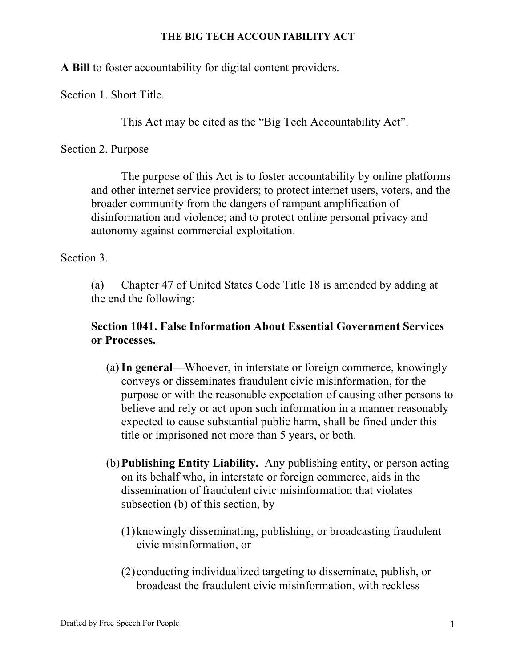**A Bill** to foster accountability for digital content providers.

Section 1. Short Title.

This Act may be cited as the "Big Tech Accountability Act".

Section 2. Purpose

The purpose of this Act is to foster accountability by online platforms and other internet service providers; to protect internet users, voters, and the broader community from the dangers of rampant amplification of disinformation and violence; and to protect online personal privacy and autonomy against commercial exploitation.

Section 3.

(a) Chapter 47 of United States Code Title 18 is amended by adding at the end the following:

# **Section 1041. False Information About Essential Government Services or Processes.**

- (a)**In general**—Whoever, in interstate or foreign commerce, knowingly conveys or disseminates fraudulent civic misinformation, for the purpose or with the reasonable expectation of causing other persons to believe and rely or act upon such information in a manner reasonably expected to cause substantial public harm, shall be fined under this title or imprisoned not more than 5 years, or both.
- (b)**Publishing Entity Liability.** Any publishing entity, or person acting on its behalf who, in interstate or foreign commerce, aids in the dissemination of fraudulent civic misinformation that violates subsection (b) of this section, by
	- (1)knowingly disseminating, publishing, or broadcasting fraudulent civic misinformation, or
	- (2) conducting individualized targeting to disseminate, publish, or broadcast the fraudulent civic misinformation, with reckless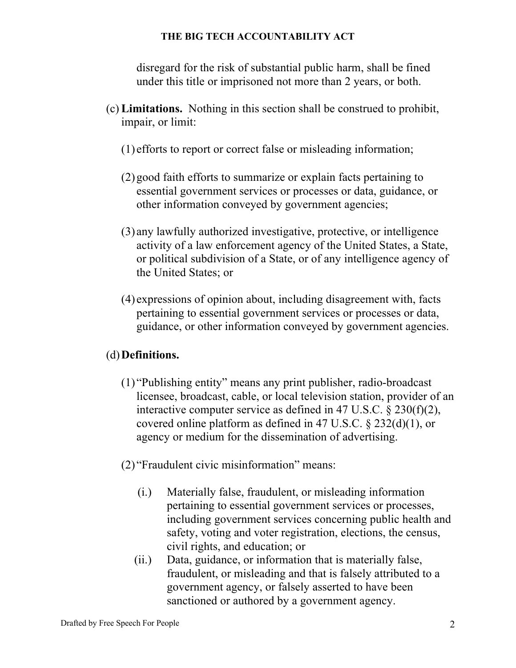disregard for the risk of substantial public harm, shall be fined under this title or imprisoned not more than 2 years, or both.

- (c) **Limitations.** Nothing in this section shall be construed to prohibit, impair, or limit:
	- (1) efforts to report or correct false or misleading information;
	- (2)good faith efforts to summarize or explain facts pertaining to essential government services or processes or data, guidance, or other information conveyed by government agencies;
	- (3) any lawfully authorized investigative, protective, or intelligence activity of a law enforcement agency of the United States, a State, or political subdivision of a State, or of any intelligence agency of the United States; or
	- (4) expressions of opinion about, including disagreement with, facts pertaining to essential government services or processes or data, guidance, or other information conveyed by government agencies.

# (d)**Definitions.**

- (1) "Publishing entity" means any print publisher, radio-broadcast licensee, broadcast, cable, or local television station, provider of an interactive computer service as defined in 47 U.S.C. § 230(f)(2), covered online platform as defined in 47 U.S.C. § 232(d)(1), or agency or medium for the dissemination of advertising.
- (2) "Fraudulent civic misinformation" means:
	- (i.) Materially false, fraudulent, or misleading information pertaining to essential government services or processes, including government services concerning public health and safety, voting and voter registration, elections, the census, civil rights, and education; or
	- (ii.) Data, guidance, or information that is materially false, fraudulent, or misleading and that is falsely attributed to a government agency, or falsely asserted to have been sanctioned or authored by a government agency.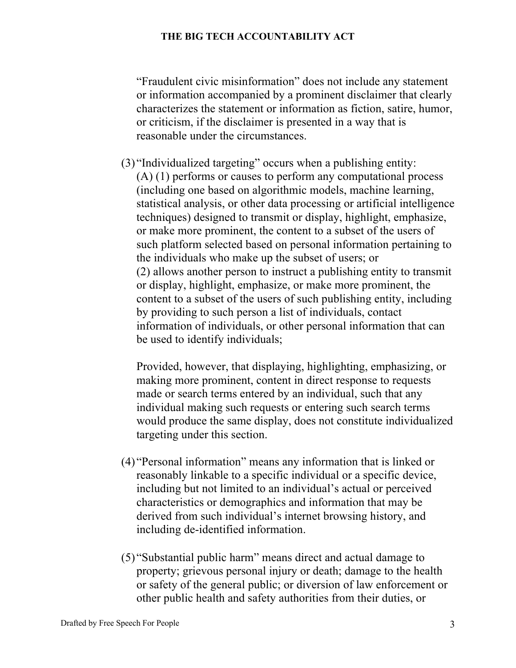"Fraudulent civic misinformation" does not include any statement or information accompanied by a prominent disclaimer that clearly characterizes the statement or information as fiction, satire, humor, or criticism, if the disclaimer is presented in a way that is reasonable under the circumstances.

(3) "Individualized targeting" occurs when a publishing entity: (A) (1) performs or causes to perform any computational process (including one based on algorithmic models, machine learning, statistical analysis, or other data processing or artificial intelligence techniques) designed to transmit or display, highlight, emphasize, or make more prominent, the content to a subset of the users of such platform selected based on personal information pertaining to the individuals who make up the subset of users; or (2) allows another person to instruct a publishing entity to transmit or display, highlight, emphasize, or make more prominent, the content to a subset of the users of such publishing entity, including by providing to such person a list of individuals, contact information of individuals, or other personal information that can be used to identify individuals;

Provided, however, that displaying, highlighting, emphasizing, or making more prominent, content in direct response to requests made or search terms entered by an individual, such that any individual making such requests or entering such search terms would produce the same display, does not constitute individualized targeting under this section.

- (4) "Personal information" means any information that is linked or reasonably linkable to a specific individual or a specific device, including but not limited to an individual's actual or perceived characteristics or demographics and information that may be derived from such individual's internet browsing history, and including de-identified information.
- (5) "Substantial public harm" means direct and actual damage to property; grievous personal injury or death; damage to the health or safety of the general public; or diversion of law enforcement or other public health and safety authorities from their duties, or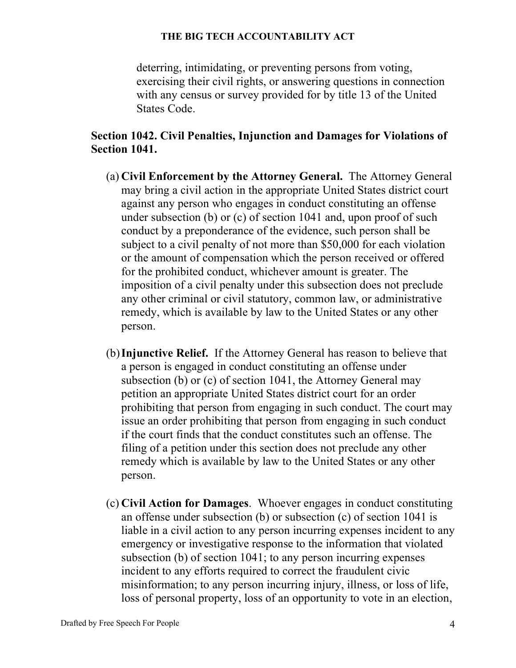deterring, intimidating, or preventing persons from voting, exercising their civil rights, or answering questions in connection with any census or survey provided for by title 13 of the United States Code.

# **Section 1042. Civil Penalties, Injunction and Damages for Violations of Section 1041.**

- (a) **Civil Enforcement by the Attorney General.** The Attorney General may bring a civil action in the appropriate United States district court against any person who engages in conduct constituting an offense under subsection (b) or (c) of section 1041 and, upon proof of such conduct by a preponderance of the evidence, such person shall be subject to a civil penalty of not more than \$50,000 for each violation or the amount of compensation which the person received or offered for the prohibited conduct, whichever amount is greater. The imposition of a civil penalty under this subsection does not preclude any other criminal or civil statutory, common law, or administrative remedy, which is available by law to the United States or any other person.
- (b)**Injunctive Relief.** If the Attorney General has reason to believe that a person is engaged in conduct constituting an offense under subsection (b) or (c) of section 1041, the Attorney General may petition an appropriate United States district court for an order prohibiting that person from engaging in such conduct. The court may issue an order prohibiting that person from engaging in such conduct if the court finds that the conduct constitutes such an offense. The filing of a petition under this section does not preclude any other remedy which is available by law to the United States or any other person.
- (c) **Civil Action for Damages**. Whoever engages in conduct constituting an offense under subsection (b) or subsection (c) of section 1041 is liable in a civil action to any person incurring expenses incident to any emergency or investigative response to the information that violated subsection (b) of section 1041; to any person incurring expenses incident to any efforts required to correct the fraudulent civic misinformation; to any person incurring injury, illness, or loss of life, loss of personal property, loss of an opportunity to vote in an election,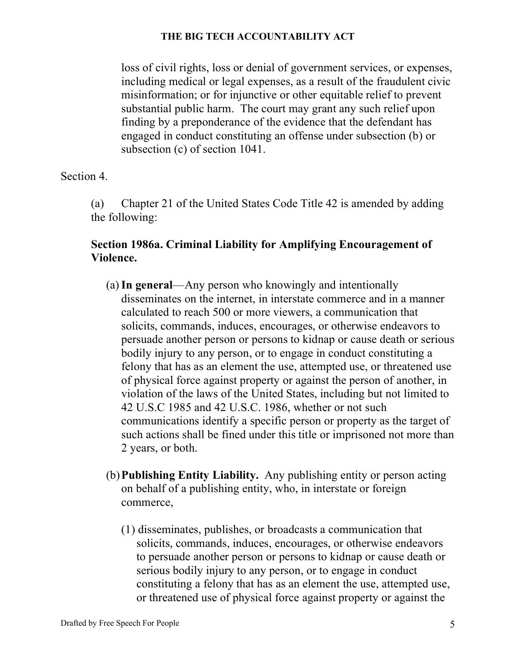loss of civil rights, loss or denial of government services, or expenses, including medical or legal expenses, as a result of the fraudulent civic misinformation; or for injunctive or other equitable relief to prevent substantial public harm. The court may grant any such relief upon finding by a preponderance of the evidence that the defendant has engaged in conduct constituting an offense under subsection (b) or subsection (c) of section 1041.

Section 4.

(a) Chapter 21 of the United States Code Title 42 is amended by adding the following:

# **Section 1986a. Criminal Liability for Amplifying Encouragement of Violence.**

- (a)**In general**—Any person who knowingly and intentionally disseminates on the internet, in interstate commerce and in a manner calculated to reach 500 or more viewers, a communication that solicits, commands, induces, encourages, or otherwise endeavors to persuade another person or persons to kidnap or cause death or serious bodily injury to any person, or to engage in conduct constituting a felony that has as an element the use, attempted use, or threatened use of physical force against property or against the person of another, in violation of the laws of the United States, including but not limited to 42 U.S.C 1985 and 42 U.S.C. 1986, whether or not such communications identify a specific person or property as the target of such actions shall be fined under this title or imprisoned not more than 2 years, or both.
- (b)**Publishing Entity Liability.** Any publishing entity or person acting on behalf of a publishing entity, who, in interstate or foreign commerce,
	- (1) disseminates, publishes, or broadcasts a communication that solicits, commands, induces, encourages, or otherwise endeavors to persuade another person or persons to kidnap or cause death or serious bodily injury to any person, or to engage in conduct constituting a felony that has as an element the use, attempted use, or threatened use of physical force against property or against the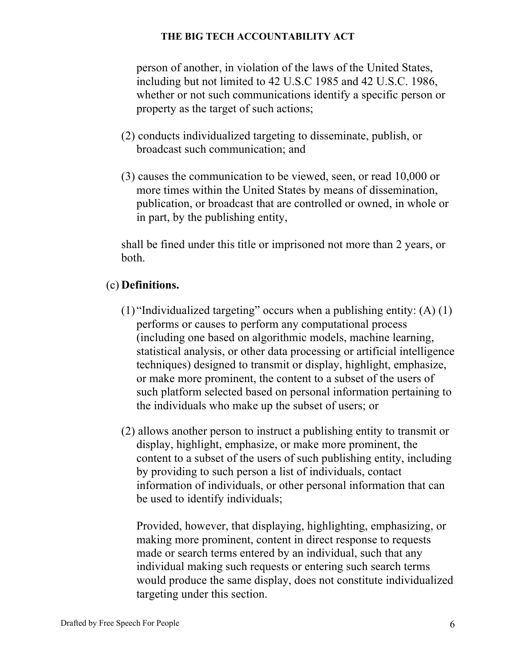person of another, in violation of the laws of the United States, including but not limited to 42 U.S.C 1985 and 42 U.S.C. 1986, whether or not such communications identify a specific person or property as the target of such actions;

- (2) conducts individualized targeting to disseminate, publish, or broadcast such communication; and
- (3) causes the communication to be viewed, seen, or read 10,000 or more times within the United States by means of dissemination, publication, or broadcast that are controlled or owned, in whole or in part, by the publishing entity,

shall be fined under this title or imprisoned not more than 2 years, or both.

## (c) **Definitions.**

- (1) "Individualized targeting" occurs when a publishing entity:  $(A)$  (1) performs or causes to perform any computational process (including one based on algorithmic models, machine learning, statistical analysis, or other data processing or artificial intelligence techniques) designed to transmit or display, highlight, emphasize, or make more prominent, the content to a subset of the users of such platform selected based on personal information pertaining to the individuals who make up the subset of users; or
- (2) allows another person to instruct a publishing entity to transmit or display, highlight, emphasize, or make more prominent, the content to a subset of the users of such publishing entity, including by providing to such person a list of individuals, contact information of individuals, or other personal information that can be used to identify individuals;

Provided, however, that displaying, highlighting, emphasizing, or making more prominent, content in direct response to requests made or search terms entered by an individual, such that any individual making such requests or entering such search terms would produce the same display, does not constitute individualized targeting under this section.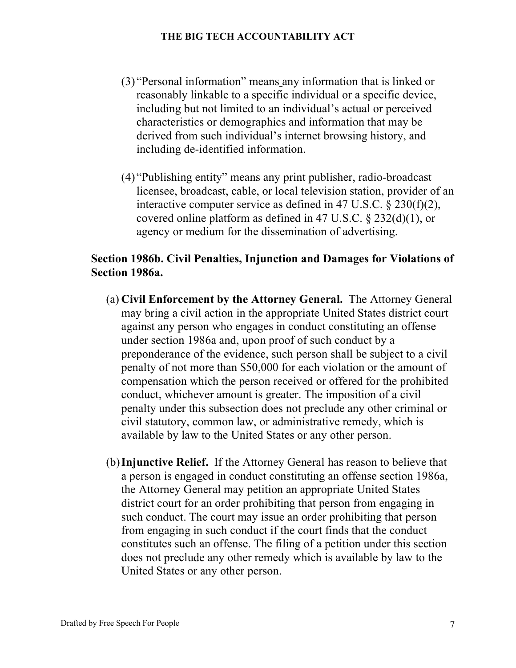- (3) "Personal information" means any information that is linked or reasonably linkable to a specific individual or a specific device, including but not limited to an individual's actual or perceived characteristics or demographics and information that may be derived from such individual's internet browsing history, and including de-identified information.
- (4) "Publishing entity" means any print publisher, radio-broadcast licensee, broadcast, cable, or local television station, provider of an interactive computer service as defined in 47 U.S.C. § 230(f)(2), covered online platform as defined in 47 U.S.C. § 232(d)(1), or agency or medium for the dissemination of advertising.

## **Section 1986b. Civil Penalties, Injunction and Damages for Violations of Section 1986a.**

- (a) **Civil Enforcement by the Attorney General.** The Attorney General may bring a civil action in the appropriate United States district court against any person who engages in conduct constituting an offense under section 1986a and, upon proof of such conduct by a preponderance of the evidence, such person shall be subject to a civil penalty of not more than \$50,000 for each violation or the amount of compensation which the person received or offered for the prohibited conduct, whichever amount is greater. The imposition of a civil penalty under this subsection does not preclude any other criminal or civil statutory, common law, or administrative remedy, which is available by law to the United States or any other person.
- (b)**Injunctive Relief.** If the Attorney General has reason to believe that a person is engaged in conduct constituting an offense section 1986a, the Attorney General may petition an appropriate United States district court for an order prohibiting that person from engaging in such conduct. The court may issue an order prohibiting that person from engaging in such conduct if the court finds that the conduct constitutes such an offense. The filing of a petition under this section does not preclude any other remedy which is available by law to the United States or any other person.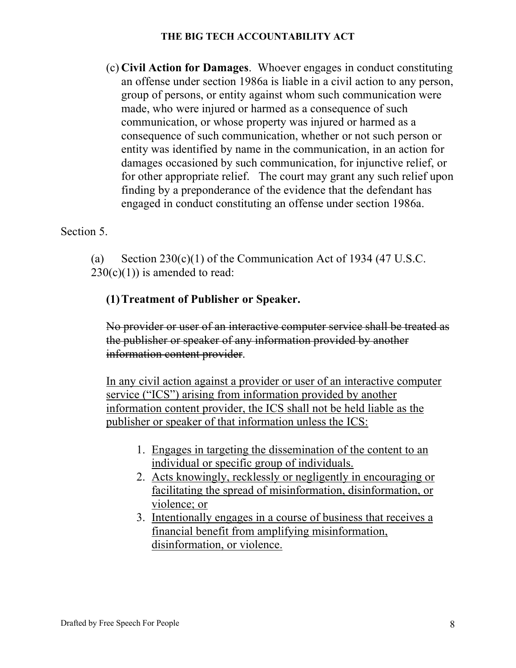(c) **Civil Action for Damages**. Whoever engages in conduct constituting an offense under section 1986a is liable in a civil action to any person, group of persons, or entity against whom such communication were made, who were injured or harmed as a consequence of such communication, or whose property was injured or harmed as a consequence of such communication, whether or not such person or entity was identified by name in the communication, in an action for damages occasioned by such communication, for injunctive relief, or for other appropriate relief. The court may grant any such relief upon finding by a preponderance of the evidence that the defendant has engaged in conduct constituting an offense under section 1986a.

Section 5.

(a) Section  $230(c)(1)$  of the Communication Act of 1934 (47 U.S.C.  $230(c)(1)$ ) is amended to read:

## **(1)Treatment of Publisher or Speaker.**

No provider or user of an interactive computer service shall be treated as the publisher or speaker of any information provided by another information content provider.

In any civil action against a provider or user of an interactive computer service ("ICS") arising from information provided by another information content provider, the ICS shall not be held liable as the publisher or speaker of that information unless the ICS:

- 1. Engages in targeting the dissemination of the content to an individual or specific group of individuals.
- 2. Acts knowingly, recklessly or negligently in encouraging or facilitating the spread of misinformation, disinformation, or violence; or
- 3. Intentionally engages in a course of business that receives a financial benefit from amplifying misinformation, disinformation, or violence.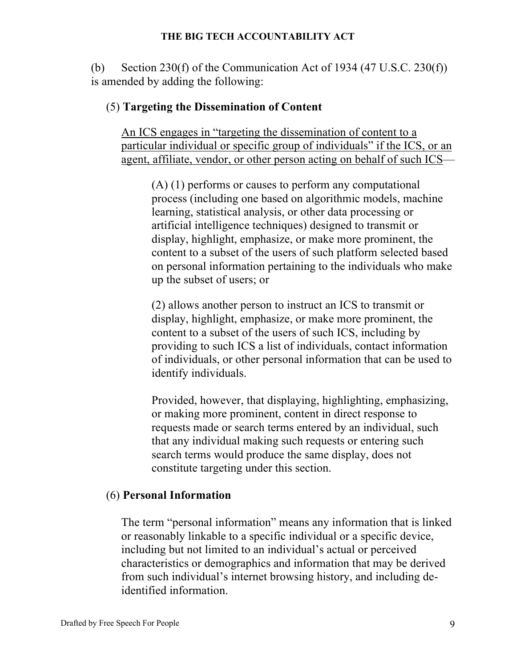(b) Section 230(f) of the Communication Act of 1934  $(47 \text{ U.S.C. } 230(\text{f}))$ is amended by adding the following:

### (5) **Targeting the Dissemination of Content**

An ICS engages in "targeting the dissemination of content to a particular individual or specific group of individuals" if the ICS, or an agent, affiliate, vendor, or other person acting on behalf of such ICS—

(A) (1) performs or causes to perform any computational process (including one based on algorithmic models, machine learning, statistical analysis, or other data processing or artificial intelligence techniques) designed to transmit or display, highlight, emphasize, or make more prominent, the content to a subset of the users of such platform selected based on personal information pertaining to the individuals who make up the subset of users; or

(2) allows another person to instruct an ICS to transmit or display, highlight, emphasize, or make more prominent, the content to a subset of the users of such ICS, including by providing to such ICS a list of individuals, contact information of individuals, or other personal information that can be used to identify individuals.

Provided, however, that displaying, highlighting, emphasizing, or making more prominent, content in direct response to requests made or search terms entered by an individual, such that any individual making such requests or entering such search terms would produce the same display, does not constitute targeting under this section.

#### (6) **Personal Information**

The term "personal information" means any information that is linked or reasonably linkable to a specific individual or a specific device, including but not limited to an individual's actual or perceived characteristics or demographics and information that may be derived from such individual's internet browsing history, and including deidentified information.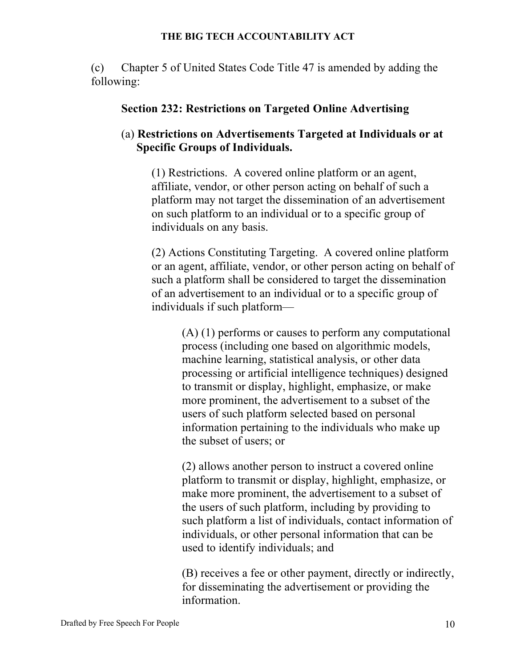(c) Chapter 5 of United States Code Title 47 is amended by adding the following:

#### **Section 232: Restrictions on Targeted Online Advertising**

## (a) **Restrictions on Advertisements Targeted at Individuals or at Specific Groups of Individuals.**

(1) Restrictions. A covered online platform or an agent, affiliate, vendor, or other person acting on behalf of such a platform may not target the dissemination of an advertisement on such platform to an individual or to a specific group of individuals on any basis.

(2) Actions Constituting Targeting. A covered online platform or an agent, affiliate, vendor, or other person acting on behalf of such a platform shall be considered to target the dissemination of an advertisement to an individual or to a specific group of individuals if such platform—

(A) (1) performs or causes to perform any computational process (including one based on algorithmic models, machine learning, statistical analysis, or other data processing or artificial intelligence techniques) designed to transmit or display, highlight, emphasize, or make more prominent, the advertisement to a subset of the users of such platform selected based on personal information pertaining to the individuals who make up the subset of users; or

(2) allows another person to instruct a covered online platform to transmit or display, highlight, emphasize, or make more prominent, the advertisement to a subset of the users of such platform, including by providing to such platform a list of individuals, contact information of individuals, or other personal information that can be used to identify individuals; and

(B) receives a fee or other payment, directly or indirectly, for disseminating the advertisement or providing the information.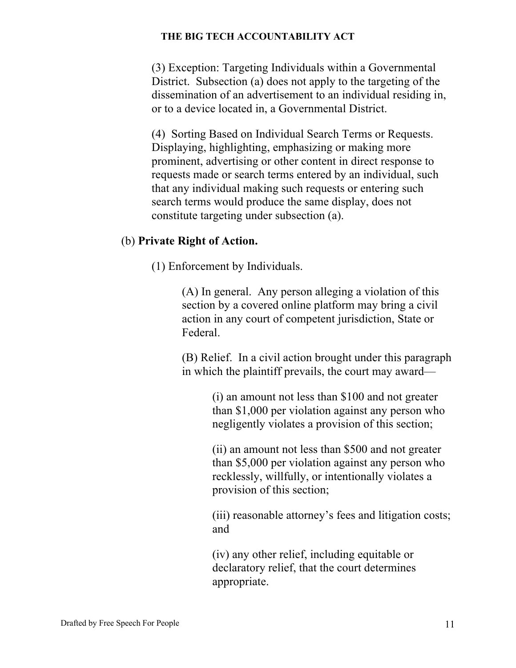(3) Exception: Targeting Individuals within a Governmental District. Subsection (a) does not apply to the targeting of the dissemination of an advertisement to an individual residing in, or to a device located in, a Governmental District.

(4) Sorting Based on Individual Search Terms or Requests. Displaying, highlighting, emphasizing or making more prominent, advertising or other content in direct response to requests made or search terms entered by an individual, such that any individual making such requests or entering such search terms would produce the same display, does not constitute targeting under subsection (a).

## (b) **Private Right of Action.**

(1) Enforcement by Individuals.

(A) In general. Any person alleging a violation of this section by a covered online platform may bring a civil action in any court of competent jurisdiction, State or Federal.

(B) Relief. In a civil action brought under this paragraph in which the plaintiff prevails, the court may award—

> (i) an amount not less than \$100 and not greater than \$1,000 per violation against any person who negligently violates a provision of this section;

> (ii) an amount not less than \$500 and not greater than \$5,000 per violation against any person who recklessly, willfully, or intentionally violates a provision of this section;

(iii) reasonable attorney's fees and litigation costs; and

(iv) any other relief, including equitable or declaratory relief, that the court determines appropriate.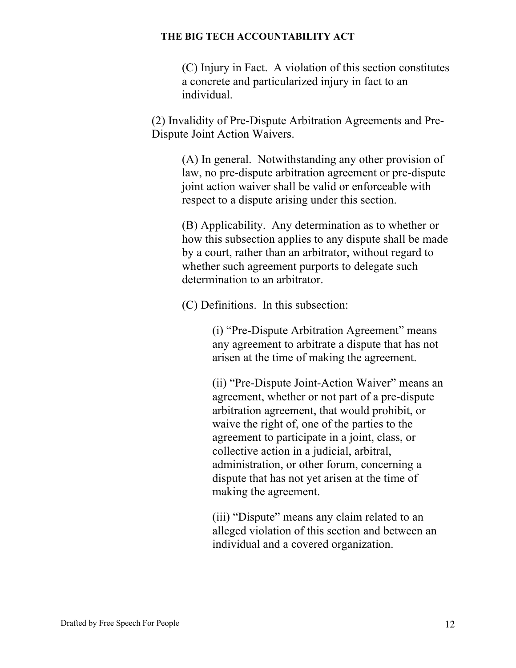(C) Injury in Fact. A violation of this section constitutes a concrete and particularized injury in fact to an individual.

(2) Invalidity of Pre-Dispute Arbitration Agreements and Pre-Dispute Joint Action Waivers.

> (A) In general. Notwithstanding any other provision of law, no pre-dispute arbitration agreement or pre-dispute joint action waiver shall be valid or enforceable with respect to a dispute arising under this section.

(B) Applicability. Any determination as to whether or how this subsection applies to any dispute shall be made by a court, rather than an arbitrator, without regard to whether such agreement purports to delegate such determination to an arbitrator.

(C) Definitions. In this subsection:

(i) "Pre-Dispute Arbitration Agreement" means any agreement to arbitrate a dispute that has not arisen at the time of making the agreement.

(ii) "Pre-Dispute Joint-Action Waiver" means an agreement, whether or not part of a pre-dispute arbitration agreement, that would prohibit, or waive the right of, one of the parties to the agreement to participate in a joint, class, or collective action in a judicial, arbitral, administration, or other forum, concerning a dispute that has not yet arisen at the time of making the agreement.

(iii) "Dispute" means any claim related to an alleged violation of this section and between an individual and a covered organization.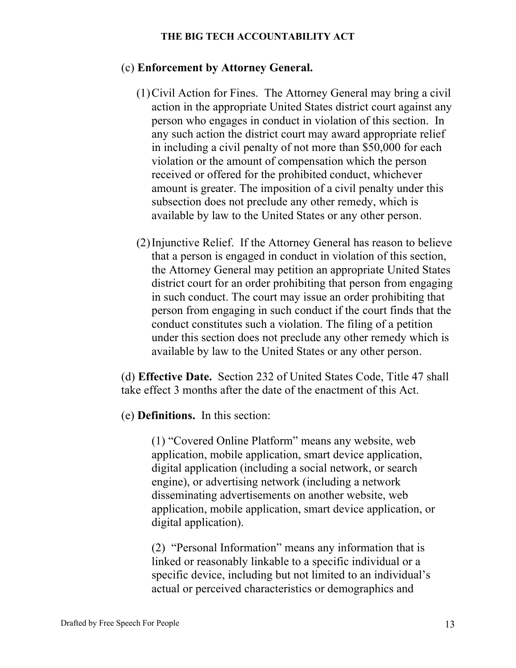## (c) **Enforcement by Attorney General.**

- (1)Civil Action for Fines.The Attorney General may bring a civil action in the appropriate United States district court against any person who engages in conduct in violation of this section. In any such action the district court may award appropriate relief in including a civil penalty of not more than \$50,000 for each violation or the amount of compensation which the person received or offered for the prohibited conduct, whichever amount is greater. The imposition of a civil penalty under this subsection does not preclude any other remedy, which is available by law to the United States or any other person.
- (2)Injunctive Relief.If the Attorney General has reason to believe that a person is engaged in conduct in violation of this section, the Attorney General may petition an appropriate United States district court for an order prohibiting that person from engaging in such conduct. The court may issue an order prohibiting that person from engaging in such conduct if the court finds that the conduct constitutes such a violation. The filing of a petition under this section does not preclude any other remedy which is available by law to the United States or any other person.

(d) **Effective Date.** Section 232 of United States Code, Title 47 shall take effect 3 months after the date of the enactment of this Act.

(e) **Definitions.** In this section:

(1) "Covered Online Platform" means any website, web application, mobile application, smart device application, digital application (including a social network, or search engine), or advertising network (including a network disseminating advertisements on another website, web application, mobile application, smart device application, or digital application).

(2) "Personal Information" means any information that is linked or reasonably linkable to a specific individual or a specific device, including but not limited to an individual's actual or perceived characteristics or demographics and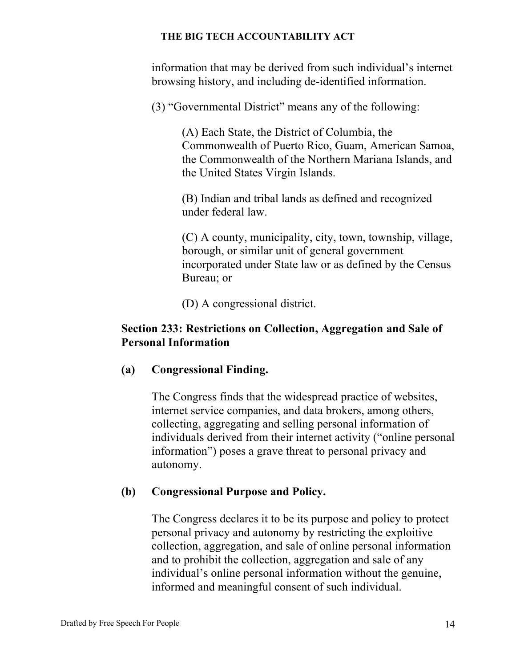information that may be derived from such individual's internet browsing history, and including de-identified information.

(3) "Governmental District" means any of the following:

(A) Each State, the District of Columbia, the Commonwealth of Puerto Rico, Guam, American Samoa, the Commonwealth of the Northern Mariana Islands, and the United States Virgin Islands.

(B) Indian and tribal lands as defined and recognized under federal law.

(C) A county, municipality, city, town, township, village, borough, or similar unit of general government incorporated under State law or as defined by the Census Bureau; or

(D) A congressional district.

## **Section 233: Restrictions on Collection, Aggregation and Sale of Personal Information**

## **(a) Congressional Finding.**

The Congress finds that the widespread practice of websites, internet service companies, and data brokers, among others, collecting, aggregating and selling personal information of individuals derived from their internet activity ("online personal information") poses a grave threat to personal privacy and autonomy.

## **(b) Congressional Purpose and Policy.**

The Congress declares it to be its purpose and policy to protect personal privacy and autonomy by restricting the exploitive collection, aggregation, and sale of online personal information and to prohibit the collection, aggregation and sale of any individual's online personal information without the genuine, informed and meaningful consent of such individual.